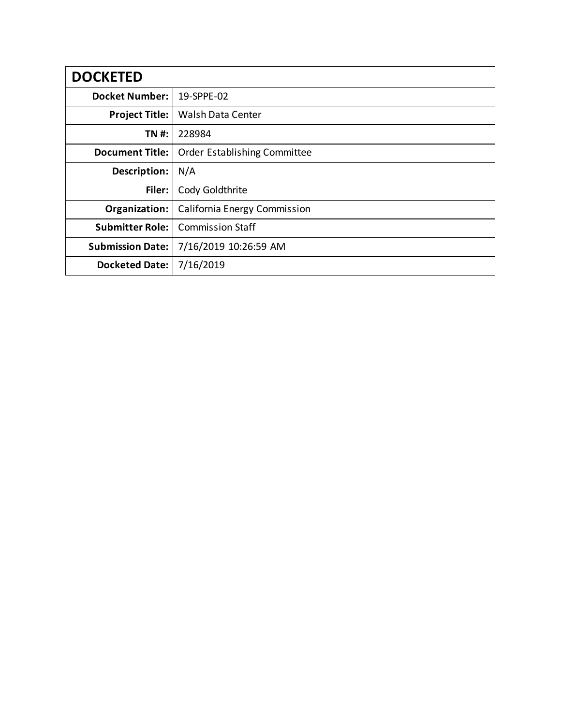| <b>DOCKETED</b>         |                              |
|-------------------------|------------------------------|
| <b>Docket Number:</b>   | 19-SPPE-02                   |
| <b>Project Title:</b>   | <b>Walsh Data Center</b>     |
| TN #:                   | 228984                       |
| <b>Document Title:</b>  | Order Establishing Committee |
| Description:            | N/A                          |
| Filer:                  | Cody Goldthrite              |
| Organization:           | California Energy Commission |
| <b>Submitter Role:</b>  | <b>Commission Staff</b>      |
| <b>Submission Date:</b> | 7/16/2019 10:26:59 AM        |
| <b>Docketed Date:</b>   | 7/16/2019                    |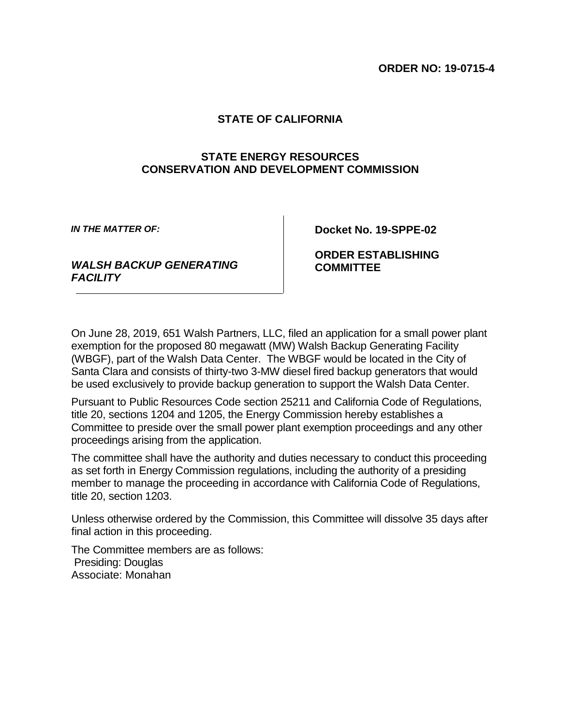## **STATE OF CALIFORNIA**

## **STATE ENERGY RESOURCES CONSERVATION AND DEVELOPMENT COMMISSION**

*IN THE MATTER OF:*

**Docket No. 19-SPPE-02**

*WALSH BACKUP GENERATING FACILITY*

**ORDER ESTABLISHING COMMITTEE**

On June 28, 2019, 651 Walsh Partners, LLC, filed an application for a small power plant exemption for the proposed 80 megawatt (MW) Walsh Backup Generating Facility (WBGF), part of the Walsh Data Center. The WBGF would be located in the City of Santa Clara and consists of thirty-two 3-MW diesel fired backup generators that would be used exclusively to provide backup generation to support the Walsh Data Center.

Pursuant to Public Resources Code section 25211 and California Code of Regulations, title 20, sections 1204 and 1205, the Energy Commission hereby establishes a Committee to preside over the small power plant exemption proceedings and any other proceedings arising from the application.

The committee shall have the authority and duties necessary to conduct this proceeding as set forth in Energy Commission regulations, including the authority of a presiding member to manage the proceeding in accordance with California Code of Regulations, title 20, section 1203.

Unless otherwise ordered by the Commission, this Committee will dissolve 35 days after final action in this proceeding.

The Committee members are as follows: Presiding: Douglas Associate: Monahan